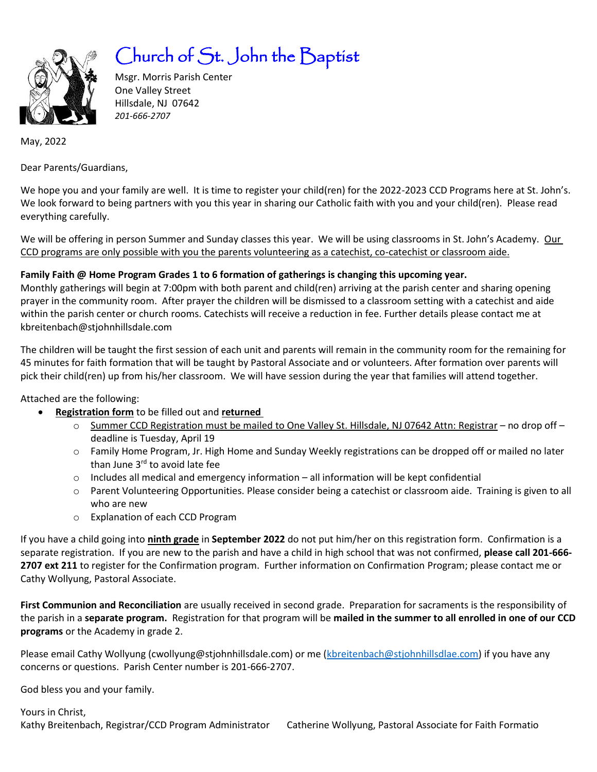

# Church of St. John the Baptist

Msgr. Morris Parish Center One Valley Street Hillsdale, NJ 07642 *201-666-2707* 

May, 2022

Dear Parents/Guardians,

We hope you and your family are well. It is time to register your child(ren) for the 2022-2023 CCD Programs here at St. John's. We look forward to being partners with you this year in sharing our Catholic faith with you and your child(ren). Please read everything carefully.

We will be offering in person Summer and Sunday classes this year. We will be using classrooms in St. John's Academy. Our CCD programs are only possible with you the parents volunteering as a catechist, co-catechist or classroom aide.

**Family Faith @ Home Program Grades 1 to 6 formation of gatherings is changing this upcoming year.** 

Monthly gatherings will begin at 7:00pm with both parent and child(ren) arriving at the parish center and sharing opening prayer in the community room. After prayer the children will be dismissed to a classroom setting with a catechist and aide within the parish center or church rooms. Catechists will receive a reduction in fee. Further details please contact me at kbreitenbach@stjohnhillsdale.com

The children will be taught the first session of each unit and parents will remain in the community room for the remaining for 45 minutes for faith formation that will be taught by Pastoral Associate and or volunteers. After formation over parents will pick their child(ren) up from his/her classroom. We will have session during the year that families will attend together.

Attached are the following:

- **Registration form** to be filled out and **returned**
	- o Summer CCD Registration must be mailed to One Valley St. Hillsdale, NJ 07642 Attn: Registrar no drop off deadline is Tuesday, April 19
	- o Family Home Program, Jr. High Home and Sunday Weekly registrations can be dropped off or mailed no later than June 3<sup>rd</sup> to avoid late fee
	- $\circ$  Includes all medical and emergency information all information will be kept confidential
	- o Parent Volunteering Opportunities. Please consider being a catechist or classroom aide. Training is given to all who are new
	- o Explanation of each CCD Program

If you have a child going into **ninth grade** in **September 2022** do not put him/her on this registration form. Confirmation is a separate registration. If you are new to the parish and have a child in high school that was not confirmed, **please call 201-666- 2707 ext 211** to register for the Confirmation program. Further information on Confirmation Program; please contact me or Cathy Wollyung, Pastoral Associate.

**First Communion and Reconciliation** are usually received in second grade. Preparation for sacraments is the responsibility of the parish in a **separate program.** Registration for that program will be **mailed in the summer to all enrolled in one of our CCD programs** or the Academy in grade 2.

Please email Cathy Wollyung (cwollyung@stjohnhillsdale.com) or me [\(kbreitenbach@stjohnhillsdlae.com\)](mailto:kbreitenbach@stjohnhillsdlae.com) if you have any concerns or questions. Parish Center number is 201-666-2707.

God bless you and your family.

Yours in Christ, Kathy Breitenbach, Registrar/CCD Program Administrator Catherine Wollyung, Pastoral Associate for Faith Formatio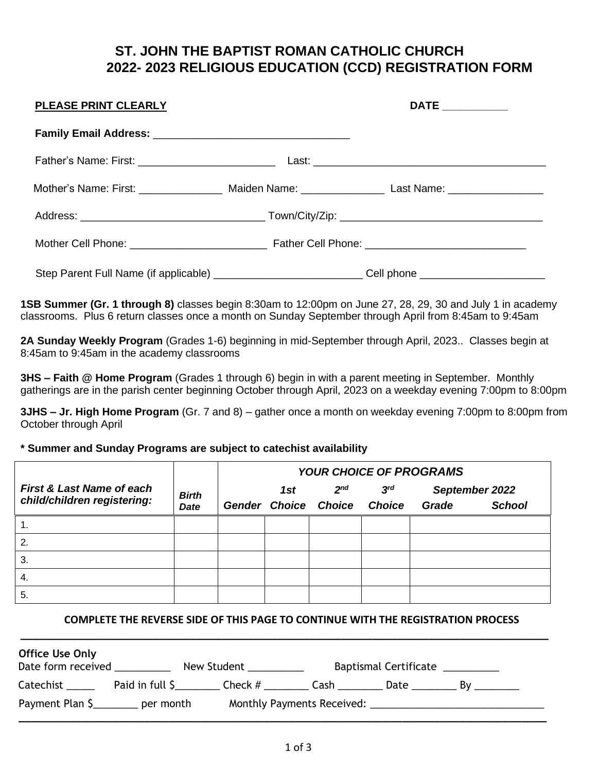# **ST. JOHN THE BAPTIST ROMAN CATHOLIC CHURCH 2022- 2023 RELIGIOUS EDUCATION (CCD) REGISTRATION FORM**

| <b>PLEASE PRINT CLEARLY</b> | DATE __________                                                                                      |
|-----------------------------|------------------------------------------------------------------------------------------------------|
|                             |                                                                                                      |
|                             |                                                                                                      |
|                             | Mother's Name: First: __________________ Maiden Name: __________________ Last Name: ________________ |
|                             |                                                                                                      |
|                             |                                                                                                      |
|                             | Step Parent Full Name (if applicable) ____________________________Cell phone _______________________ |

**1SB Summer (Gr. 1 through 8)** classes begin 8:30am to 12:00pm on June 27, 28, 29, 30 and July 1 in academy classrooms. Plus 6 return classes once a month on Sunday September through April from 8:45am to 9:45am

**2A Sunday Weekly Program** (Grades 1-6) beginning in mid-September through April, 2023.. Classes begin at 8:45am to 9:45am in the academy classrooms

**3HS – Faith @ Home Program** (Grades 1 through 6) begin in with a parent meeting in September. Monthly gatherings are in the parish center beginning October through April, 2023 on a weekday evening 7:00pm to 8:00pm

**3JHS – Jr. High Home Program** (Gr. 7 and 8) – gather once a month on weekday evening 7:00pm to 8:00pm from October through April

#### **\* Summer and Sunday Programs are subject to catechist availability**

|                                                                     |                             | <b>YOUR CHOICE OF PROGRAMS</b> |     |                                                |                                  |       |                                 |
|---------------------------------------------------------------------|-----------------------------|--------------------------------|-----|------------------------------------------------|----------------------------------|-------|---------------------------------|
| <b>First &amp; Last Name of each</b><br>child/children registering: | <b>Birth</b><br><b>Date</b> |                                | 1st | 2 <sup>nd</sup><br><b>Gender Choice Choice</b> | 3 <sup>rd</sup><br><b>Choice</b> | Grade | September 2022<br><b>School</b> |
| 1.                                                                  |                             |                                |     |                                                |                                  |       |                                 |
| 2.                                                                  |                             |                                |     |                                                |                                  |       |                                 |
| 3.                                                                  |                             |                                |     |                                                |                                  |       |                                 |
| 4.                                                                  |                             |                                |     |                                                |                                  |       |                                 |
| 5.                                                                  |                             |                                |     |                                                |                                  |       |                                 |

#### **COMPLETE THE REVERSE SIDE OF THIS PAGE TO CONTINUE WITH THE REGISTRATION PROCESS**

| <b>Office Use Only</b><br>Date form received |                 | New Student |             | Baptismal Certificate __________ |    |  |
|----------------------------------------------|-----------------|-------------|-------------|----------------------------------|----|--|
| Catechist ______                             | Paid in full \$ | Check #     | <b>Cash</b> | Date $\_\_$                      | Bv |  |
| Payment Plan \$                              | per month       |             |             |                                  |    |  |

**\_\_\_\_\_\_\_\_\_\_\_\_\_\_\_\_\_\_\_\_\_\_\_\_\_\_\_\_\_\_\_\_\_\_\_\_\_\_\_\_\_\_\_\_\_\_\_\_\_\_\_\_\_\_\_\_\_\_\_\_\_\_\_\_\_\_\_\_\_\_\_\_\_\_\_\_\_\_\_\_\_\_\_\_**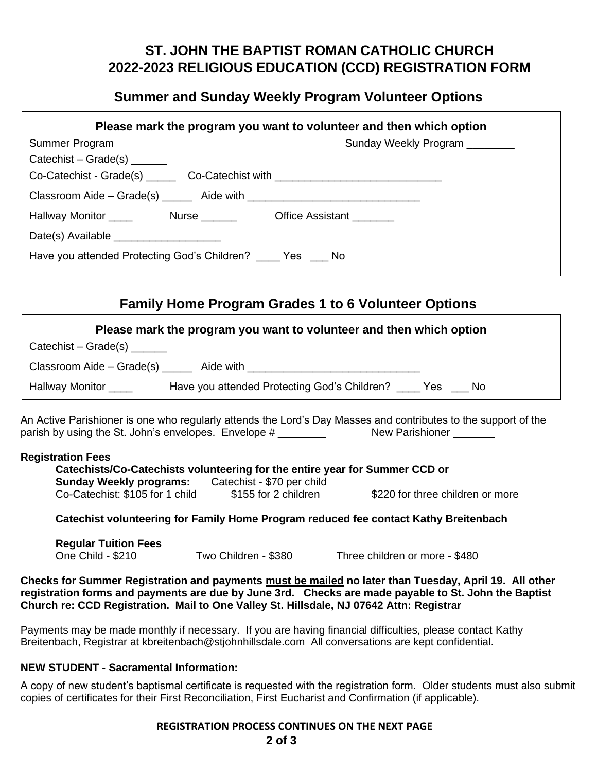# **ST. JOHN THE BAPTIST ROMAN CATHOLIC CHURCH 2022-2023 RELIGIOUS EDUCATION (CCD) REGISTRATION FORM**

### **Summer and Sunday Weekly Program Volunteer Options**

| Please mark the program you want to volunteer and then which option              |                                |  |  |  |
|----------------------------------------------------------------------------------|--------------------------------|--|--|--|
| Summer Program                                                                   | Sunday Weekly Program ________ |  |  |  |
| Catechist – Grade(s) $\frac{1}{2}$                                               |                                |  |  |  |
| Co-Catechist - Grade(s) ________ Co-Catechist with _____________________________ |                                |  |  |  |
|                                                                                  |                                |  |  |  |
|                                                                                  |                                |  |  |  |
|                                                                                  |                                |  |  |  |
| Have you attended Protecting God's Children? _____ Yes ____ No                   |                                |  |  |  |

## **Family Home Program Grades 1 to 6 Volunteer Options**

|                                    | Please mark the program you want to volunteer and then which option |  |
|------------------------------------|---------------------------------------------------------------------|--|
| Catechist – Grade(s) $\frac{1}{2}$ |                                                                     |  |
|                                    |                                                                     |  |
| Hallway Monitor _____              | Have you attended Protecting God's Children? Yes __ No              |  |
|                                    |                                                                     |  |

An Active Parishioner is one who regularly attends the Lord's Day Masses and contributes to the support of the parish by using the St. John's envelopes. Envelope # \_\_\_\_\_\_\_\_\_ New Parishioner \_\_\_\_\_\_

#### **Registration Fees**

| Catechists/Co-Catechists volunteering for the entire year for Summer CCD or |                            |                                  |
|-----------------------------------------------------------------------------|----------------------------|----------------------------------|
| <b>Sunday Weekly programs:</b>                                              | Catechist - \$70 per child |                                  |
| Co-Catechist: \$105 for 1 child                                             | \$155 for 2 children       | \$220 for three children or more |

#### **Catechist volunteering for Family Home Program reduced fee contact Kathy Breitenbach**

**Regular Tuition Fees** One Child - \$210 Two Children - \$380 Three children or more - \$480

**Checks for Summer Registration and payments must be mailed no later than Tuesday, April 19. All other registration forms and payments are due by June 3rd. Checks are made payable to St. John the Baptist Church re: CCD Registration. Mail to One Valley St. Hillsdale, NJ 07642 Attn: Registrar**

Payments may be made monthly if necessary. If you are having financial difficulties, please contact Kathy Breitenbach, Registrar at kbreitenbach@stjohnhillsdale.com All conversations are kept confidential.

#### **NEW STUDENT - Sacramental Information:**

A copy of new student's baptismal certificate is requested with the registration form. Older students must also submit copies of certificates for their First Reconciliation, First Eucharist and Confirmation (if applicable).

#### **REGISTRATION PROCESS CONTINUES ON THE NEXT PAGE 2 of 3**